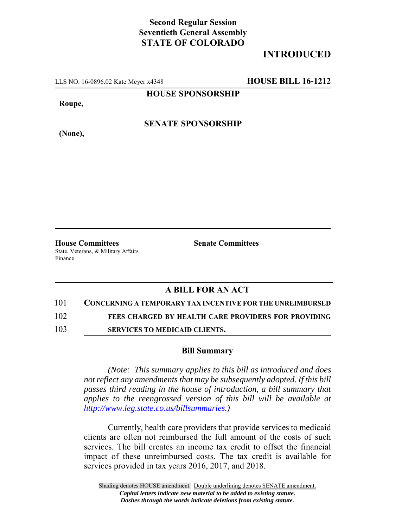## **Second Regular Session Seventieth General Assembly STATE OF COLORADO**

# **INTRODUCED**

LLS NO. 16-0896.02 Kate Meyer x4348 **HOUSE BILL 16-1212**

**HOUSE SPONSORSHIP**

**Roupe,**

**(None),**

**SENATE SPONSORSHIP**

**House Committees Senate Committees** State, Veterans, & Military Affairs Finance

## **A BILL FOR AN ACT**

### 101 **CONCERNING A TEMPORARY TAX INCENTIVE FOR THE UNREIMBURSED**

102 **FEES CHARGED BY HEALTH CARE PROVIDERS FOR PROVIDING**

103 **SERVICES TO MEDICAID CLIENTS.**

### **Bill Summary**

*(Note: This summary applies to this bill as introduced and does not reflect any amendments that may be subsequently adopted. If this bill passes third reading in the house of introduction, a bill summary that applies to the reengrossed version of this bill will be available at http://www.leg.state.co.us/billsummaries.)*

Currently, health care providers that provide services to medicaid clients are often not reimbursed the full amount of the costs of such services. The bill creates an income tax credit to offset the financial impact of these unreimbursed costs. The tax credit is available for services provided in tax years 2016, 2017, and 2018.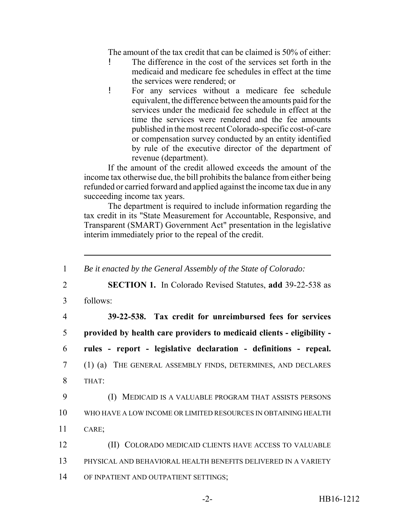The amount of the tax credit that can be claimed is 50% of either:

- ! The difference in the cost of the services set forth in the medicaid and medicare fee schedules in effect at the time the services were rendered; or
- ! For any services without a medicare fee schedule equivalent, the difference between the amounts paid for the services under the medicaid fee schedule in effect at the time the services were rendered and the fee amounts published in the most recent Colorado-specific cost-of-care or compensation survey conducted by an entity identified by rule of the executive director of the department of revenue (department).

If the amount of the credit allowed exceeds the amount of the income tax otherwise due, the bill prohibits the balance from either being refunded or carried forward and applied against the income tax due in any succeeding income tax years.

The department is required to include information regarding the tax credit in its "State Measurement for Accountable, Responsive, and Transparent (SMART) Government Act" presentation in the legislative interim immediately prior to the repeal of the credit.

| $\mathbf{1}$   | Be it enacted by the General Assembly of the State of Colorado:       |
|----------------|-----------------------------------------------------------------------|
| $\overline{2}$ | <b>SECTION 1.</b> In Colorado Revised Statutes, add 39-22-538 as      |
| 3              | follows:                                                              |
| $\overline{4}$ | 39-22-538. Tax credit for unreimbursed fees for services              |
| 5              | provided by health care providers to medicaid clients - eligibility - |
| 6              | rules - report - legislative declaration - definitions - repeal.      |
| $\overline{7}$ | (1) (a) THE GENERAL ASSEMBLY FINDS, DETERMINES, AND DECLARES          |
| 8              | THAT:                                                                 |
| 9              | (I) MEDICAID IS A VALUABLE PROGRAM THAT ASSISTS PERSONS               |
| 10             | WHO HAVE A LOW INCOME OR LIMITED RESOURCES IN OBTAINING HEALTH        |
| 11             | CARE;                                                                 |
| 12             | (II) COLORADO MEDICAID CLIENTS HAVE ACCESS TO VALUABLE                |
| 13             | PHYSICAL AND BEHAVIORAL HEALTH BENEFITS DELIVERED IN A VARIETY        |
| 14             | OF INPATIENT AND OUTPATIENT SETTINGS;                                 |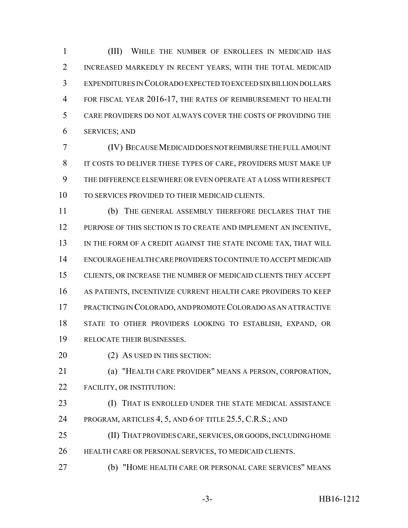(III) WHILE THE NUMBER OF ENROLLEES IN MEDICAID HAS INCREASED MARKEDLY IN RECENT YEARS, WITH THE TOTAL MEDICAID EXPENDITURES IN COLORADO EXPECTED TO EXCEED SIX BILLION DOLLARS 4 FOR FISCAL YEAR 2016-17, THE RATES OF REIMBURSEMENT TO HEALTH CARE PROVIDERS DO NOT ALWAYS COVER THE COSTS OF PROVIDING THE SERVICES; AND

 (IV) BECAUSE MEDICAID DOES NOT REIMBURSE THE FULL AMOUNT IT COSTS TO DELIVER THESE TYPES OF CARE, PROVIDERS MUST MAKE UP THE DIFFERENCE ELSEWHERE OR EVEN OPERATE AT A LOSS WITH RESPECT TO SERVICES PROVIDED TO THEIR MEDICAID CLIENTS.

 (b) THE GENERAL ASSEMBLY THEREFORE DECLARES THAT THE 12 PURPOSE OF THIS SECTION IS TO CREATE AND IMPLEMENT AN INCENTIVE, 13 IN THE FORM OF A CREDIT AGAINST THE STATE INCOME TAX, THAT WILL ENCOURAGE HEALTH CARE PROVIDERS TO CONTINUE TO ACCEPT MEDICAID CLIENTS, OR INCREASE THE NUMBER OF MEDICAID CLIENTS THEY ACCEPT AS PATIENTS, INCENTIVIZE CURRENT HEALTH CARE PROVIDERS TO KEEP PRACTICING IN COLORADO, AND PROMOTE COLORADO AS AN ATTRACTIVE STATE TO OTHER PROVIDERS LOOKING TO ESTABLISH, EXPAND, OR RELOCATE THEIR BUSINESSES.

20 (2) AS USED IN THIS SECTION:

 (a) "HEALTH CARE PROVIDER" MEANS A PERSON, CORPORATION, FACILITY, OR INSTITUTION:

 (I) THAT IS ENROLLED UNDER THE STATE MEDICAL ASSISTANCE 24 PROGRAM, ARTICLES 4, 5, AND 6 OF TITLE 25.5, C.R.S.; AND

 (II) THAT PROVIDES CARE, SERVICES, OR GOODS, INCLUDING HOME HEALTH CARE OR PERSONAL SERVICES, TO MEDICAID CLIENTS.

(b) "HOME HEALTH CARE OR PERSONAL CARE SERVICES" MEANS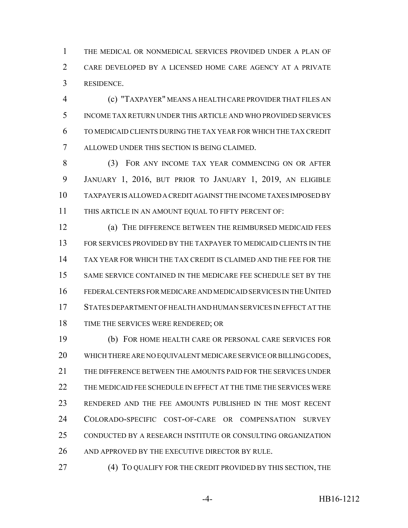THE MEDICAL OR NONMEDICAL SERVICES PROVIDED UNDER A PLAN OF CARE DEVELOPED BY A LICENSED HOME CARE AGENCY AT A PRIVATE RESIDENCE.

 (c) "TAXPAYER" MEANS A HEALTH CARE PROVIDER THAT FILES AN INCOME TAX RETURN UNDER THIS ARTICLE AND WHO PROVIDED SERVICES TO MEDICAID CLIENTS DURING THE TAX YEAR FOR WHICH THE TAX CREDIT ALLOWED UNDER THIS SECTION IS BEING CLAIMED.

 (3) FOR ANY INCOME TAX YEAR COMMENCING ON OR AFTER JANUARY 1, 2016, BUT PRIOR TO JANUARY 1, 2019, AN ELIGIBLE TAXPAYER IS ALLOWED A CREDIT AGAINST THE INCOME TAXES IMPOSED BY THIS ARTICLE IN AN AMOUNT EQUAL TO FIFTY PERCENT OF:

 (a) THE DIFFERENCE BETWEEN THE REIMBURSED MEDICAID FEES FOR SERVICES PROVIDED BY THE TAXPAYER TO MEDICAID CLIENTS IN THE TAX YEAR FOR WHICH THE TAX CREDIT IS CLAIMED AND THE FEE FOR THE SAME SERVICE CONTAINED IN THE MEDICARE FEE SCHEDULE SET BY THE FEDERAL CENTERS FOR MEDICARE AND MEDICAID SERVICES IN THE UNITED STATES DEPARTMENT OF HEALTH AND HUMAN SERVICES IN EFFECT AT THE TIME THE SERVICES WERE RENDERED; OR

 (b) FOR HOME HEALTH CARE OR PERSONAL CARE SERVICES FOR WHICH THERE ARE NO EQUIVALENT MEDICARE SERVICE OR BILLING CODES, THE DIFFERENCE BETWEEN THE AMOUNTS PAID FOR THE SERVICES UNDER THE MEDICAID FEE SCHEDULE IN EFFECT AT THE TIME THE SERVICES WERE RENDERED AND THE FEE AMOUNTS PUBLISHED IN THE MOST RECENT COLORADO-SPECIFIC COST-OF-CARE OR COMPENSATION SURVEY CONDUCTED BY A RESEARCH INSTITUTE OR CONSULTING ORGANIZATION 26 AND APPROVED BY THE EXECUTIVE DIRECTOR BY RULE.

**(4) TO QUALIFY FOR THE CREDIT PROVIDED BY THIS SECTION, THE**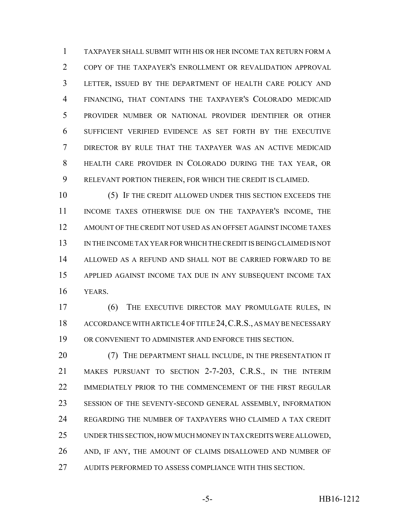TAXPAYER SHALL SUBMIT WITH HIS OR HER INCOME TAX RETURN FORM A COPY OF THE TAXPAYER'S ENROLLMENT OR REVALIDATION APPROVAL LETTER, ISSUED BY THE DEPARTMENT OF HEALTH CARE POLICY AND FINANCING, THAT CONTAINS THE TAXPAYER'S COLORADO MEDICAID PROVIDER NUMBER OR NATIONAL PROVIDER IDENTIFIER OR OTHER SUFFICIENT VERIFIED EVIDENCE AS SET FORTH BY THE EXECUTIVE DIRECTOR BY RULE THAT THE TAXPAYER WAS AN ACTIVE MEDICAID HEALTH CARE PROVIDER IN COLORADO DURING THE TAX YEAR, OR RELEVANT PORTION THEREIN, FOR WHICH THE CREDIT IS CLAIMED.

 (5) IF THE CREDIT ALLOWED UNDER THIS SECTION EXCEEDS THE INCOME TAXES OTHERWISE DUE ON THE TAXPAYER'S INCOME, THE AMOUNT OF THE CREDIT NOT USED AS AN OFFSET AGAINST INCOME TAXES IN THE INCOME TAX YEAR FOR WHICH THE CREDIT IS BEING CLAIMED IS NOT ALLOWED AS A REFUND AND SHALL NOT BE CARRIED FORWARD TO BE APPLIED AGAINST INCOME TAX DUE IN ANY SUBSEQUENT INCOME TAX YEARS.

 (6) THE EXECUTIVE DIRECTOR MAY PROMULGATE RULES, IN 18 ACCORDANCE WITH ARTICLE 4 OF TITLE 24, C.R.S., AS MAY BE NECESSARY OR CONVENIENT TO ADMINISTER AND ENFORCE THIS SECTION.

20 (7) THE DEPARTMENT SHALL INCLUDE, IN THE PRESENTATION IT MAKES PURSUANT TO SECTION 2-7-203, C.R.S., IN THE INTERIM 22 IMMEDIATELY PRIOR TO THE COMMENCEMENT OF THE FIRST REGULAR SESSION OF THE SEVENTY-SECOND GENERAL ASSEMBLY, INFORMATION REGARDING THE NUMBER OF TAXPAYERS WHO CLAIMED A TAX CREDIT UNDER THIS SECTION, HOW MUCH MONEY IN TAX CREDITS WERE ALLOWED, AND, IF ANY, THE AMOUNT OF CLAIMS DISALLOWED AND NUMBER OF AUDITS PERFORMED TO ASSESS COMPLIANCE WITH THIS SECTION.